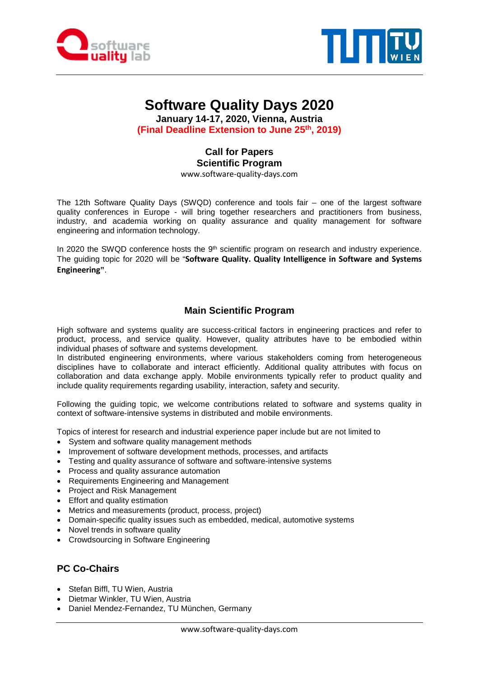



# **Software Quality Days 2020**

**January 14-17, 2020, Vienna, Austria (Final Deadline Extension to June 25th, 2019)**

# **Call for Papers Scientific Program**

www.software-quality-days.com

The 12th Software Quality Days (SWQD) conference and tools fair – one of the largest software quality conferences in Europe - will bring together researchers and practitioners from business, industry, and academia working on quality assurance and quality management for software engineering and information technology.

In 2020 the SWQD conference hosts the  $9<sup>th</sup>$  scientific program on research and industry experience. The guiding topic for 2020 will be "**Software Quality. Quality Intelligence in Software and Systems Engineering"**.

# **Main Scientific Program**

High software and systems quality are success-critical factors in engineering practices and refer to product, process, and service quality. However, quality attributes have to be embodied within individual phases of software and systems development.

In distributed engineering environments, where various stakeholders coming from heterogeneous disciplines have to collaborate and interact efficiently. Additional quality attributes with focus on collaboration and data exchange apply. Mobile environments typically refer to product quality and include quality requirements regarding usability, interaction, safety and security.

Following the guiding topic, we welcome contributions related to software and systems quality in context of software-intensive systems in distributed and mobile environments.

Topics of interest for research and industrial experience paper include but are not limited to

- System and software quality management methods
- Improvement of software development methods, processes, and artifacts
- Testing and quality assurance of software and software-intensive systems
- Process and quality assurance automation
- Requirements Engineering and Management
- Project and Risk Management
- Effort and quality estimation
- Metrics and measurements (product, process, project)
- Domain-specific quality issues such as embedded, medical, automotive systems
- Novel trends in software quality
- Crowdsourcing in Software Engineering

#### **PC Co-Chairs**

- Stefan Biffl, TU Wien, Austria
- Dietmar Winkler, TU Wien, Austria
- Daniel Mendez-Fernandez, TU München, Germany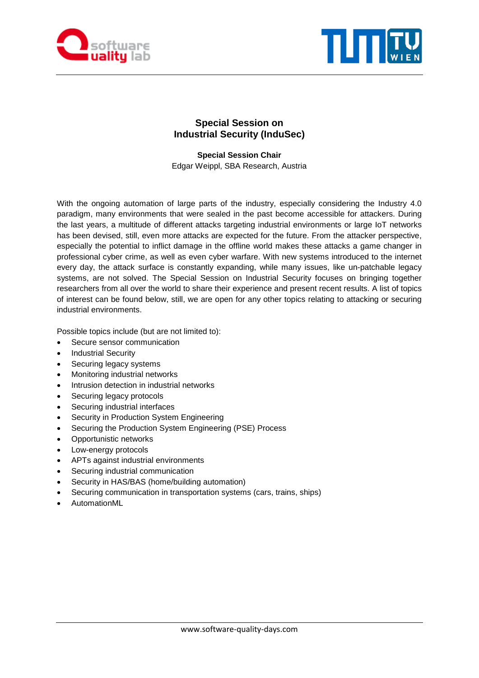



## **Special Session on Industrial Security (InduSec)**

**Special Session Chair** Edgar Weippl, SBA Research, Austria

With the ongoing automation of large parts of the industry, especially considering the Industry 4.0 paradigm, many environments that were sealed in the past become accessible for attackers. During the last years, a multitude of different attacks targeting industrial environments or large IoT networks has been devised, still, even more attacks are expected for the future. From the attacker perspective, especially the potential to inflict damage in the offline world makes these attacks a game changer in professional cyber crime, as well as even cyber warfare. With new systems introduced to the internet every day, the attack surface is constantly expanding, while many issues, like un-patchable legacy systems, are not solved. The Special Session on Industrial Security focuses on bringing together researchers from all over the world to share their experience and present recent results. A list of topics of interest can be found below, still, we are open for any other topics relating to attacking or securing industrial environments.

Possible topics include (but are not limited to):

- Secure sensor communication
- Industrial Security
- Securing legacy systems
- Monitoring industrial networks
- Intrusion detection in industrial networks
- Securing legacy protocols
- Securing industrial interfaces
- Security in Production System Engineering
- Securing the Production System Engineering (PSE) Process
- Opportunistic networks
- Low-energy protocols
- APTs against industrial environments
- Securing industrial communication
- Security in HAS/BAS (home/building automation)
- Securing communication in transportation systems (cars, trains, ships)
- AutomationML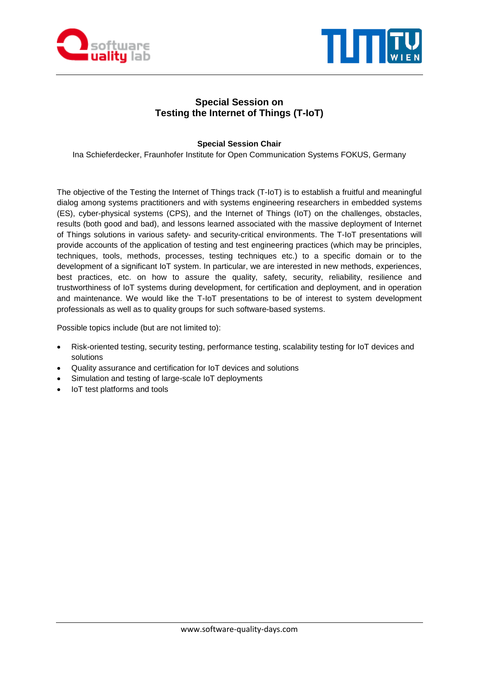



## **Special Session on Testing the Internet of Things (T-IoT)**

#### **Special Session Chair**

Ina Schieferdecker, Fraunhofer Institute for Open Communication Systems FOKUS, Germany

The objective of the Testing the Internet of Things track (T-IoT) is to establish a fruitful and meaningful dialog among systems practitioners and with systems engineering researchers in embedded systems (ES), cyber-physical systems (CPS), and the Internet of Things (IoT) on the challenges, obstacles, results (both good and bad), and lessons learned associated with the massive deployment of Internet of Things solutions in various safety- and security-critical environments. The T-IoT presentations will provide accounts of the application of testing and test engineering practices (which may be principles, techniques, tools, methods, processes, testing techniques etc.) to a specific domain or to the development of a significant IoT system. In particular, we are interested in new methods, experiences, best practices, etc. on how to assure the quality, safety, security, reliability, resilience and trustworthiness of IoT systems during development, for certification and deployment, and in operation and maintenance. We would like the T-IoT presentations to be of interest to system development professionals as well as to quality groups for such software-based systems.

Possible topics include (but are not limited to):

- Risk-oriented testing, security testing, performance testing, scalability testing for IoT devices and solutions
- Quality assurance and certification for IoT devices and solutions
- Simulation and testing of large-scale IoT deployments
- IoT test platforms and tools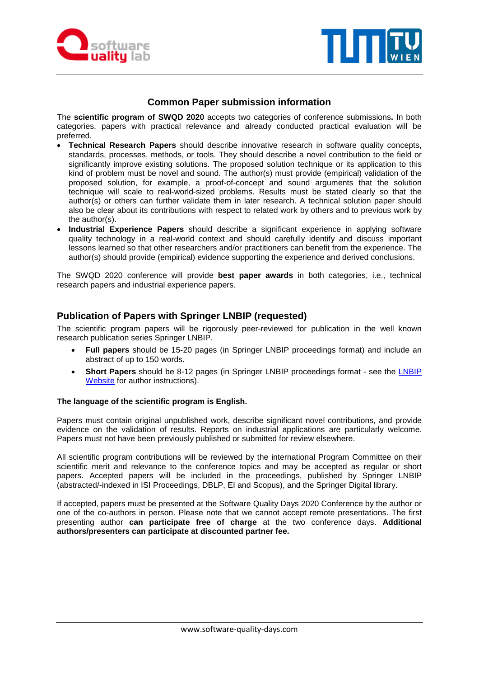



#### **Common Paper submission information**

The **scientific program of SWQD 2020** accepts two categories of conference submissions**.** In both categories, papers with practical relevance and already conducted practical evaluation will be preferred.

- **Technical Research Papers** should describe innovative research in software quality concepts, standards, processes, methods, or tools. They should describe a novel contribution to the field or significantly improve existing solutions. The proposed solution technique or its application to this kind of problem must be novel and sound. The author(s) must provide (empirical) validation of the proposed solution, for example, a proof-of-concept and sound arguments that the solution technique will scale to real-world-sized problems. Results must be stated clearly so that the author(s) or others can further validate them in later research. A technical solution paper should also be clear about its contributions with respect to related work by others and to previous work by the author(s).
- **Industrial Experience Papers** should describe a significant experience in applying software quality technology in a real-world context and should carefully identify and discuss important lessons learned so that other researchers and/or practitioners can benefit from the experience. The author(s) should provide (empirical) evidence supporting the experience and derived conclusions.

The SWQD 2020 conference will provide **best paper awards** in both categories, i.e., technical research papers and industrial experience papers.

#### **Publication of Papers with Springer LNBIP (requested)**

The scientific program papers will be rigorously peer-reviewed for publication in the well known research publication series Springer LNBIP.

- **Full papers** should be 15-20 pages (in Springer LNBIP proceedings format) and include an abstract of up to 150 words.
- **Short Papers** should be 8-12 pages (in Springer [LNBIP](http://www.springer.com/series/7911) proceedings format see the **LNBIP** [Website](http://www.springer.com/series/7911) for author instructions).

#### **The language of the scientific program is English.**

Papers must contain original unpublished work, describe significant novel contributions, and provide evidence on the validation of results. Reports on industrial applications are particularly welcome. Papers must not have been previously published or submitted for review elsewhere.

All scientific program contributions will be reviewed by the international Program Committee on their scientific merit and relevance to the conference topics and may be accepted as regular or short papers. Accepted papers will be included in the proceedings, published by Springer LNBIP (abstracted/-indexed in ISI Proceedings, DBLP, EI and Scopus), and the Springer Digital library.

If accepted, papers must be presented at the Software Quality Days 2020 Conference by the author or one of the co-authors in person. Please note that we cannot accept remote presentations. The first presenting author **can participate free of charge** at the two conference days. **Additional authors/presenters can participate at discounted partner fee.**